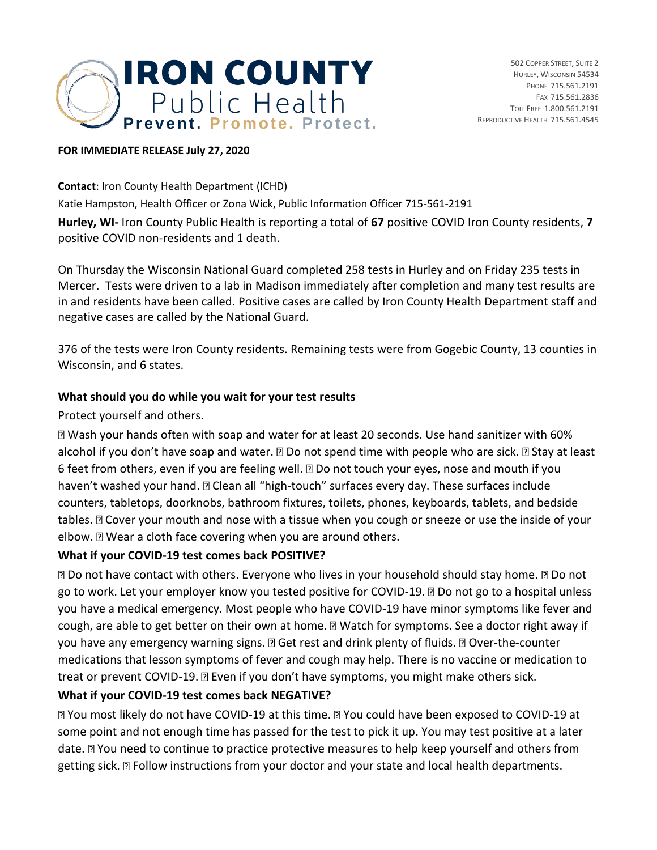

## **FOR IMMEDIATE RELEASE July 27, 2020**

**Contact**: Iron County Health Department (ICHD)

Katie Hampston, Health Officer or Zona Wick, Public Information Officer 715-561-2191

**Hurley, WI-** Iron County Public Health is reporting a total of **67** positive COVID Iron County residents, **7** positive COVID non-residents and 1 death.

On Thursday the Wisconsin National Guard completed 258 tests in Hurley and on Friday 235 tests in Mercer. Tests were driven to a lab in Madison immediately after completion and many test results are in and residents have been called. Positive cases are called by Iron County Health Department staff and negative cases are called by the National Guard.

376 of the tests were Iron County residents. Remaining tests were from Gogebic County, 13 counties in Wisconsin, and 6 states.

## **What should you do while you wait for your test results**

Protect yourself and others.

Wash your hands often with soap and water for at least 20 seconds. Use hand sanitizer with 60% alcohol if you don't have soap and water.  $\mathbb D$  Do not spend time with people who are sick.  $\mathbb D$  Stay at least 6 feet from others, even if you are feeling well. **Do not touch your eyes, nose and mouth if you** haven't washed your hand. **D** Clean all "high-touch" surfaces every day. These surfaces include counters, tabletops, doorknobs, bathroom fixtures, toilets, phones, keyboards, tablets, and bedside tables. **D** Cover your mouth and nose with a tissue when you cough or sneeze or use the inside of your elbow.  $\mathbb D$  Wear a cloth face covering when you are around others.

## **What if your COVID-19 test comes back POSITIVE?**

**D** Do not have contact with others. Everyone who lives in your household should stay home. **D** Do not go to work. Let your employer know you tested positive for COVID-19. Do not go to a hospital unless you have a medical emergency. Most people who have COVID-19 have minor symptoms like fever and cough, are able to get better on their own at home. a Watch for symptoms. See a doctor right away if you have any emergency warning signs.  $\mathbb D$  Get rest and drink plenty of fluids.  $\mathbb D$  Over-the-counter medications that lesson symptoms of fever and cough may help. There is no vaccine or medication to treat or prevent COVID-19. I Even if you don't have symptoms, you might make others sick.

## **What if your COVID-19 test comes back NEGATIVE?**

You most likely do not have COVID-19 at this time. You could have been exposed to COVID-19 at some point and not enough time has passed for the test to pick it up. You may test positive at a later date.  $\mathbb D$  You need to continue to practice protective measures to help keep yourself and others from getting sick. **D** Follow instructions from your doctor and your state and local health departments.